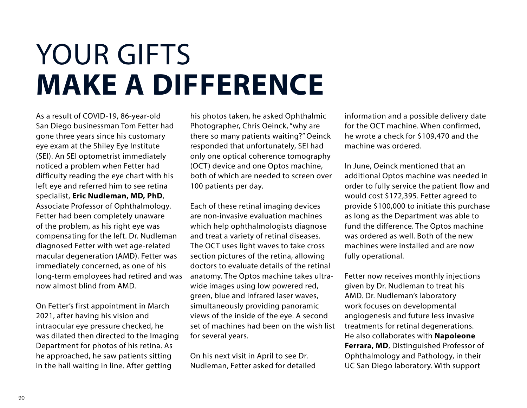## YOUR GIFTS **MAKE A DIFFERENCE**

As a result of COVID-19, 86-year-old San Diego businessman Tom Fetter had gone three years since his customary eye exam at the Shiley Eye Institute (SEI). An SEI optometrist immediately noticed a problem when Fetter had difficulty reading the eye chart with his left eye and referred him to see retina specialist, **Eric Nudleman, MD, PhD**, Associate Professor of Ophthalmology. Fetter had been completely unaware of the problem, as his right eye was compensating for the left. Dr. Nudleman diagnosed Fetter with wet age-related macular degeneration (AMD). Fetter was immediately concerned, as one of his long-term employees had retired and was now almost blind from AMD.

On Fetter's first appointment in March 2021, after having his vision and intraocular eye pressure checked, he was dilated then directed to the Imaging Department for photos of his retina. As he approached, he saw patients sitting in the hall waiting in line. After getting

his photos taken, he asked Ophthalmic Photographer, Chris Oeinck, "why are there so many patients waiting?" Oeinck responded that unfortunately, SEI had only one optical coherence tomography (OCT) device and one Optos machine, both of which are needed to screen over 100 patients per day.

Each of these retinal imaging devices are non-invasive evaluation machines which help ophthalmologists diagnose and treat a variety of retinal diseases. The OCT uses light waves to take cross section pictures of the retina, allowing doctors to evaluate details of the retinal anatomy. The Optos machine takes ultrawide images using low powered red, green, blue and infrared laser waves, simultaneously providing panoramic views of the inside of the eye. A second set of machines had been on the wish list for several years.

On his next visit in April to see Dr. Nudleman, Fetter asked for detailed information and a possible delivery date for the OCT machine. When confirmed, he wrote a check for \$109,470 and the machine was ordered.

In June, Oeinck mentioned that an additional Optos machine was needed in order to fully service the patient flow and would cost \$172,395. Fetter agreed to provide \$100,000 to initiate this purchase as long as the Department was able to fund the difference. The Optos machine was ordered as well. Both of the new machines were installed and are now fully operational.

Fetter now receives monthly injections given by Dr. Nudleman to treat his AMD. Dr. Nudleman's laboratory work focuses on developmental angiogenesis and future less invasive treatments for retinal degenerations. He also collaborates with **Napoleone Ferrara, MD**, Distinguished Professor of Ophthalmology and Pathology, in their UC San Diego laboratory. With support